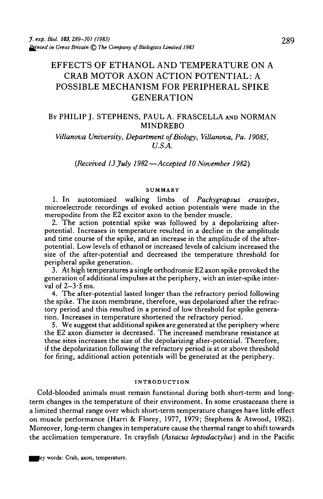# EFFECTS OF ETHANOL AND TEMPERATURE ON A CRAB MOTOR AXON ACTION POTENTIAL: A POSSIBLE MECHANISM FOR PERIPHERAL SPIKE GENERATION

### BY PHILIP J. STEPHENS, PAUL A. FRASCELLA AND NORMAN MINDREBO

*Villanova University, Department of Biology, Villanova, Pa. 19085, U.SA.*

*(Received 13 July 1982—Accepted 10 November 1982)*

#### **SUMMARY**

1. In autotomized walking limbs of *Pachygrapsus crassipes,* microelectrode recordings of evoked action potentials were made in the meropodite from the E2 excitor axon to the bender muscle.

2. The action potential spike was followed by a depolarizing after-<br>potential. Increases in temperature resulted in a decline in the amplitude<br>and time course of the spike, and an increase in the amplitude of the afterpotential. Low levels of ethanol or increased levels of calcium increased the size of the after-potential and decreased the temperature threshold for peripheral spike generation.

3. At high temperatures a single orthodromic E2 axon spike provoked the generation of additional impulses at the periphery, with an inter-spike inter-<br>val of  $2-3.5$  ms.

4. The after-potential lasted longer than the refractory period following the spike. The axon membrane, therefore, was depolarized after the refrac- tory period and this resulted in a period of low threshold for spike genera- tion. Increases in temperature shortened the refractory period.

5. We suggest that additional spikes are generated at the periphery where the E2 axon diameter is decreased. The increased membrane resistance at these sites increases the size of the depolarizing after-potential. Therefore, if the depolarization following the refractory period is at or above threshold for firing, additional action potentials will be generated at the periphery.

#### **INTRODUCTION**

Cold-blooded animals must remain functional during both short-term and longterm changes in the temperature of their environment. In some crustaceans there is a limited thermal range over which short-term temperature changes have little effect on muscle performance (Harri & Florey, 1977, 1979; Stephens & Atwood, 1982). Moreover, long-term changes in temperature cause the thermal range to shift towards the acclimation temperature. In crayfish *(Astacus leptodactylus)* and in the Pacific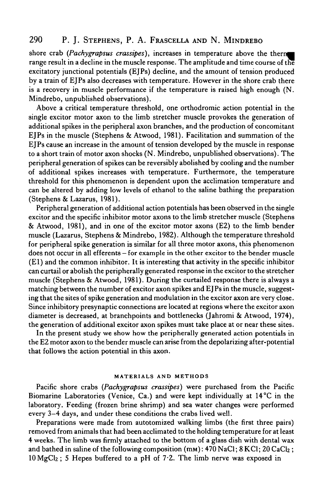## 290 P. J. STEPHENS, P. A. FRASCELLA AND N. MINDREBO

shore crab (Pachygrapsus crassipes), increases in temperature above the therm range result in a decline in the muscle response. The amplitude and time course of the excitatory junctional potentials (EJPs) decline, and the amount of tension produced by a train of EJPs also decreases with temperature. However in the shore crab there is a recovery in muscle performance if the temperature is raised high enough (N. Mindrebo, unpublished observations).

Above a critical temperature threshold, one orthodromic action potential in the single excitor motor axon to the limb stretcher muscle provokes the generation of additional spikes in the peripheral axon branches, and the production of concomitant EJPs in the muscle (Stephens & Atwood, 1981). Facilitation and summation of the EJPs cause an increase in the amount of tension developed by the muscle in response to a short train of motor axon shocks (N. Mindrebo, unpublished observations). The peripheral generation of spikes can be reversibly abolished by cooling and the number of additional spikes increases with temperature. Furthermore, the temperature threshold for this phenomenon is dependent upon the acclimation temperature and can be altered by adding low levels of ethanol to the saline bathing the preparation (Stephens & Lazarus, 1981).

Peripheral generation of additional action potentials has been observed in the single excitor and the specific inhibitor motor axons to the limb stretcher muscle (Stephens & Atwood, 1981), and in one of the excitor motor axons (E2) to the limb bender muscle (Lazarus, Stephens & Mindrebo, 1982). Although the temperature threshold for peripheral spike generation is similar for all three motor axons, this phenomenon does not occur in all efferents - for example in the other excitor to the bender muscle (El) and the common inhibitor. It is interesting that activity in the specific inhibitor can curtail or abolish the peripherally generated response in the excitor to the stretcher muscle (Stephens & Atwood, 1981). During the curtailed response there is always a matching between the number of excitor axon spikes and EJPs in the muscle, suggesting that the sites of spike generation and modulation in the excitor axon are very close. Since inhibitory presynaptic connections are located at regions where the excitor axon diameter is decreased, at branchpoints and bottlenecks (Jahromi & Atwood, 1974), the generation of additional excitor axon spikes must take place at or near these sites.

In the present study we show how the peripherally generated action potentials in the E2 motor axon to the bender muscle can arise from the depolarizing after-potential that follows the action potential in this axon.

#### **MATERIALS AND METHODS**

Pacific shore crabs *(Pachygrapsus crassipes)* were purchased from the Pacific Biomarine Laboratories (Venice, Ca.) and were kept individually at 14°C in the laboratory. Feeding (frozen brine shrimp) and sea water changes were performed every 3—4 days, and under these conditions the crabs lived well.

Preparations were made from autotomized walking limbs (the first three pairs) removed from animals that had been acclimated to the holding temperature for at least 4 weeks. The limb was firmly attached to the bottom of a glass dish with dental wax and bathed in saline of the following composition  $(mm)$ : 470 NaCl; 8 KCl; 20 CaCl<sub>2</sub>;  $10 \text{ MgCl}_2$ ; 5 Hepes buffered to a pH of 7.2. The limb nerve was exposed in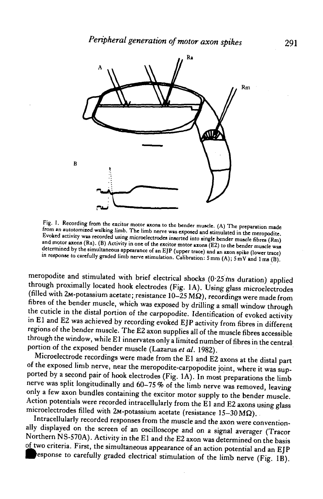

**Fig. 1. Recording from the excitor motor axons to the bender muscle. (A) The preparation made** from an autotomized walking limb. The limb nerve was exposed and stimulated in the meropodite. Evoked activity was recorded using microelectrodes inserted into single bender muscle fibres (Rm) and motor axons (Ra). (B) Activity in one of the excitor motor axons (E2) to the bender muscle was determined by the simultaneous appearance of an EJP (upper trace) and an axon spike (lower trace) in response to carefully graded limb nerve stimulation. Calibration: 5 mm (A); 5 mV and 1 ms (B).

meropodite and stimulated with brief electrical shocks (0-25 ms duration) applied through proximally located hook electrodes (Fig. 1A). Using glass microelectrodes (filled with 2M-potassium acetate; resistance  $10-25$  M $\Omega$ ), recordings were made from fibres of the bender muscle, which was exposed by drilling a small window through the cuticle in the distal portion of the carpopodite. Identification of evoked activity in El and E2 was achieved by recording evoked EJP activity from fibres in different regions of the bender muscle. The E2 axon supplies all of the muscle fibres accessible through the window, while El innervates only a limited number of fibres in the central portion of the exposed bender muscle (Lazarus *et al.* 1982).

Microelectrode recordings were made from the El and E2 axons at the distal part of the exposed limb nerve, near the meropodite-carpopodite joint, where it was supported by a second pair of hook electrodes (Fig. 1A). In most preparations the limb nerve was split longitudinally and 60-75 % of the limb nerve was removed, leaving only a few axon bundles containing the excitor motor supply to the bender muscle. Action potentials were recorded intracellularly from the El and E2 axons using glass microelectrodes filled with 2M-potassium acetate (resistance  $15-30 \text{ M}\Omega$ ).

Intracellularly recorded responses from the muscle and the axon were conventionally displayed on the screen of an oscilloscope and on a signal averager (Tracor Northern NS-570A). Activity in the El and the E2 axon was determined on the basis of two criteria. First, the simultaneous appearance of an action potential and an EJP esponse to carefully graded electrical stimulation of the limb nerve (Fig. IB).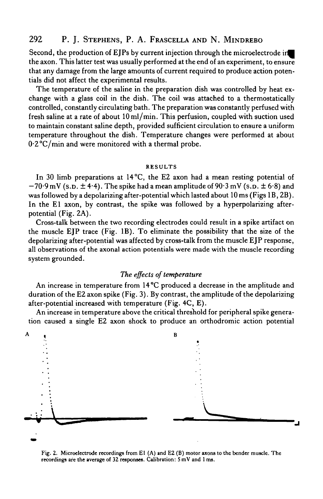## 292 P. J. STEPHENS, P. A. FRASCELLA AND N. MINDREBO

Second, the production of EIPs by current injection through the microelectrode in the axon. This latter test was usually performed at the end of an experiment, to ensure that any damage from the large amounts of current required to produce action potentials did not affect the experimental results.

The temperature of the saline in the preparation dish was controlled by heat exchange with a glass coil in the dish. The coil was attached to a thermostatically controlled, constantly circulating bath. The preparation was constantly perfused with fresh saline at a rate of about 10 ml/min. This perfusion, coupled with suction used to maintain constant saline depth, provided sufficient circulation to ensure a uniform temperature throughout the dish. Temperature changes were performed at about 0.2°C/min and were monitored with a thermal probe.

#### **RESULTS**

In 30 limb preparations at 14°C, the E2 axon had a mean resting potential of  $-70.9$  mV (s.p.  $\pm$  4.4). The spike had a mean amplitude of 90.3 mV (s.p.  $\pm$  6.8) and was followed by a depolarizing after-potential which lasted about 10 ms (Figs IB, 2B). In the El axon, by contrast, the spike was followed by a hyperpolarizing afterpotential (Fig. 2A).

Cross-talk between the two recording electrodes could result in a spike artifact on the muscle EJP trace (Fig. IB). To eliminate the possibility that the size of the depolarizing after-potential was affected by cross-talk from the muscle EJP response, all observations of the axonal action potentials were made with the muscle recording system grounded.

### *The effects of temperature*

An increase in temperature from 14°C produced a decrease in the amplitude and duration of the E2 axon spike (Fig. 3). By contrast, the amplitude of the depolarizing after-potential increased with temperature (Fig. 4C, E).

An increase in temperature above the critical threshold for peripheral spike generation caused a single E2 axon shock to produce an orthodromic action potential



**Fig. 2. Microelectrode recordings from El (A) and E2 (B) motor axons to the bender muscle. The recordings are the average of 32 responses. Calibration: 5 mV and 1 ms.**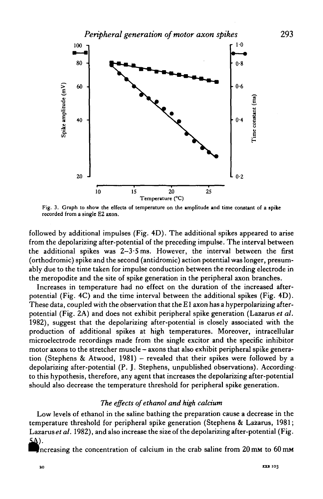

Fig. 3. Graph to show the effects of temperature on the amplitude and time constant of a **spike** recorded from a single E2 axon.

followed by additional impulses (Fig. 4D). The additional spikes appeared to arise from the depolarizing after-potential of the preceding impulse. The interval between the additional spikes was 2—3- 5ms. However, the interval between the first (orthodromic) spike and the second (antidromic) action potential was longer, presumably due to the time taken for impulse conduction between the recording electrode in the meropodite and the site of spike generation in the peripheral axon branches.

Increases in temperature had no effect on the duration of the increased afterpotential (Fig. 4C) and the time interval between the additional spikes (Fig. 4D). These data, coupled with the observation that the El axon has a hyperpolarizing afterpotential (Fig. 2A) and does not exhibit peripheral spike generation (Lazarus *et al.* 1982), suggest that the depolarizing after-potential is closely associated with the production of additional spikes at high temperatures. Moreover, intracellular microelectrode recordings made from the single excitor and the specific inhibitor motor axons to the stretcher muscle - axons that also exhibit peripheral spike generation (Stephens & Atwood, 1981) - revealed that their spikes were followed by a depolarizing after-potential (P. J. Stephens, unpublished observations). Accordingto this hypothesis, therefore, any agent that increases the depolarizing after-potential should also decrease the temperature threshold for peripheral spike generation.

### *The effects ofethanol and high calcium*

Low levels of ethanol in the saline bathing the preparation cause a decrease in the temperature threshold for peripheral spike generation (Stephens & Lazarus, 1981; Lazarus et al. 1982), and also increase the size of the depolarizing after-potential (Fig. 5A).

Increasing the concentration of calcium in the crab saline from 20 mm to 60 mm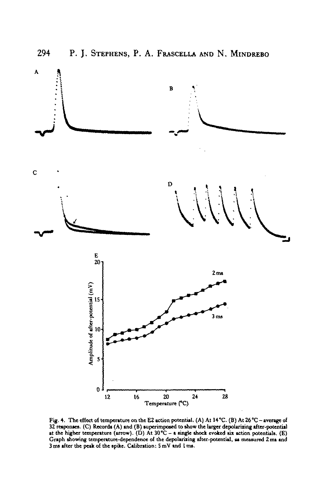

**Fig. 4. The effect of temperature on the E2 action potential, (A) At 14°C. (B) At 26°C - average of** 32 responses. (C) Records (A) and (B) superimposed to show the larger depolarizing after-potential **at the higher temperature (arrow). (D) At 30 °C - a single shock evoked six action potentials. (E) Graph showing temperature-dependence of the depolarixing after-potential, as measured 2m» and 3 ma after the peak of the spike. Calibration: S mV and I ma.**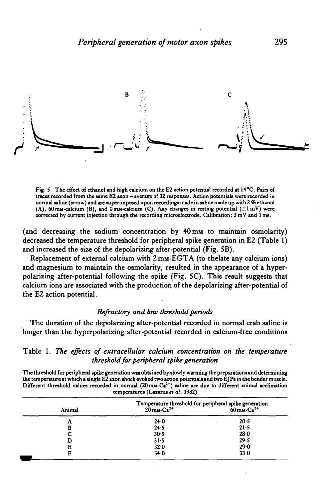

**Fig. 5. The effect of ethanol and high calcium on the E2 action potential recorded at 14°C. Pain of traces recorded from the same E2 axon - average of 32 responses. Action potentials were recorded in normal saline (arrow) and are superimposed upon recordings made in saline made up with 2 % ethanol (A), 60 mM-calcium (B), and OmM-cilcium (C). Any changes in resting potential (±lmV) were corrected by current injection through the recording microelectrode. Calibration: 5 mV and 1 ms.**

(and decreasing the sodium concentration by 40 mM to maintain osmolarity) decreased the temperature threshold for peripheral spike generation in E2 (Table 1) and increased the size of the depolarizing after-potential (Fig. 5B).

Replacement of external calcium with 2 mM-EGTA (to chelate any calcium ions) and magnesium to maintain the osmolarity, resulted in the appearance of a hyperpolarizing after-potential following the spike (Fig. 5C). This result suggests that calcium ions are associated with the production of the depolarizing after-potential of the E2 action potential.

### *Refractory and low threshold periods*

The duration of the depolarizing after-potential recorded in normal crab saline is longer than the hyperpolarizing after-potential recorded in calcium-free conditions

Table 1. *The effects of extracellular calcium concentration on the temperature threshold for peripheral spike generation*

**The threshold for peripheral spike generation was obtained by slowly warming the preparations and determining** the temperature at which a single E2 axon shock evoked two action potentials and two EJPs in the bender muscle. **Different threshold values recorded in normal (20mM-Ca2+) saline are due to different animal acclimation temperatures (Lazarus** *et al.* **1982)**

| Temperature threshold for peripheral spike generation<br>20 mm-Ca <sup>2+</sup> 60 mm-Ca <sup>2+</sup> |          |
|--------------------------------------------------------------------------------------------------------|----------|
|                                                                                                        |          |
| 24.0                                                                                                   | 20.5     |
| 24.5                                                                                                   | $21 - 5$ |
| 30.5                                                                                                   | 28.0     |
| 31.5                                                                                                   | 29.5     |
| 32.0                                                                                                   | 29.0     |
| 34.0                                                                                                   | $33 - 0$ |
|                                                                                                        |          |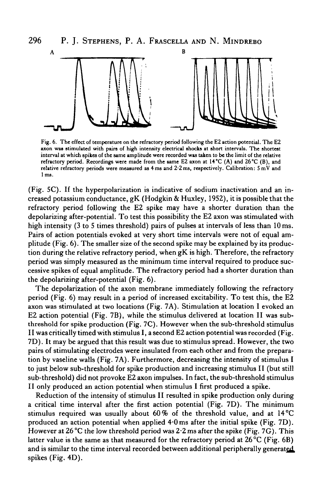

**Fig. 6. The effect of temperature on the refractory period following the E2 action potential. The E2 axon was stimulated with pairs of high intensity electrical shocks at short intervals. The shortest interval at which spikes of the same amplitude were recorded was taken to be the limit of the relative refractory period. Recordings were made from the same E2 axon at 14°C (A) and 26°C (B), and relative refractory periods were measured as 4ms and 2-2ms, respectively. Calibration: 5mV and 1 ms.**

(Fig. 5C). If the hyperpolarization is indicative of sodium inactivation and an increased potassium conductance, gK (Hodgkin & Huxley, 1952), it is possible that the refractory period following the E2 spike may have a shorter duration than the depolarizing after-potential. To test this possibility the E2 axon was stimulated with high intensity (3 to 5 times threshold) pairs of pulses at intervals of less than 10 ms. Pairs of action potentials evoked at very short time intervals were not of equal amplitude (Fig. 6). The smaller size of the second spike may be explained by its production during the relative refractory period, when gK is high. Therefore, the refractory period was simply measured as the minimum time interval required to produce successive spikes of equal amplitude. The refractory period had a shorter duration than the depolarizing after-potential (Fig. 6).

The depolarization of the axon membrane immediately following the refractory period (Fig. 6) may result in a period of increased excitability. To test this, the E2 axon was stimulated at two locations (Fig. 7A). Stimulation at location I evoked an E2 action potential (Fig. 7B), while the stimulus delivered at location II was subthreshold for spike production (Fig. 7C). However when the sub-threshold stimulus 11 was critically timed with stimulus I, a second E2 action potential was recorded (Fig. 7D). It may be argued that this result was due to stimulus spread. However, the two pairs of stimulating electrodes were insulated from each other and from the preparation by vaseline walls (Fig. 7A). Furthermore, decreasing the intensity of stimulus I to just below sub-threshold for spike production and increasing stimulus II (but still sub-threshold) did not provoke E2 axon impulses. In fact, the sub-threshold stimulus II only produced an action potential when stimulus I first produced a spike.

Reduction of the intensity of stimulus II resulted in spike production only during a critical time interval after the first action potential (Fig. 7D). The minimum stimulus required was usually about 60% of the threshold value, and at  $14^{\circ}$ C produced an action potential when applied 4 0 ms after the initial spike (Fig. 7D). However at 26 °C the low threshold period was 2.2 ms after the spike (Fig. 7G). This latter value is the same as that measured for the refractory period at 26 °C (Fig. 6B) and is similar to the time interval recorded between additional peripherally generated spikes (Fig. 4D).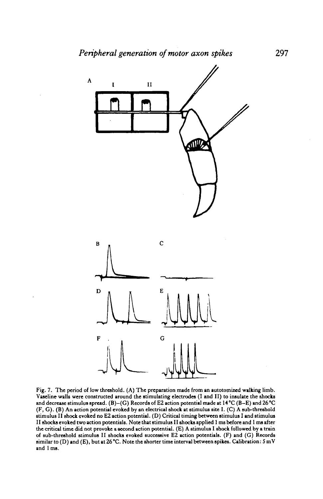

**Fig. 7. The period of low threshold. (A) The preparation made from an autotomized walking limb. Vaseline walls were constructed around the stimulating electrodes (I and II) to insulate the shocks and decrease stimulus spread. (B)-(G) Records of E2 action potential made at 14°C (B-E) and 26°C (F, G). (B) An action potential evoked by an electrical shock at stimulus site I. (C) A sub-threshold stimulus II shock evoked no E2 action potential. (D) Critical timing between stimulus I and stimulus II shocksevoked two action potentials. Note that stimulus II shocks applied 1 ms before and 1 ms after the critical time did not provoke a second action potential. (E) A stimulus I shock followed by a train of sub-threshold stimulus II shocks evoked successive E2 action potentials. (F) and (G) Records similar to (D) and (E), but at 26 °C. Note the shorter time interval between spikes. Calibration: S mV and 1 ms.**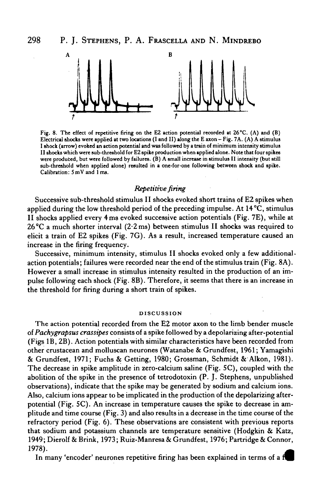

**Fig. 8. The effect of repetitive firing on the E2 action potential recorded at 26 °C. (A) and (B) Electrical shocks were applied at two locations (I and II) along the E axon - Fig. 7A. (A) A stimulus I shock (arrow) evoked an action potential and was followed by a train of minimum intensity stimulus II shocks which were sub-threshold for E2 spike production when applied alone. Note that four spikes were produced, but were followed by failures. (B) A small increase in stimulus II intensity (but still sub-threshold when applied alone) resulted in a one-for-one following between shock and spike. Calibration: 5 mV and 1 ms.**

### *Repetitive firing*

Successive sub-threshold stimulus II shocks evoked short trains of E2 spikes when applied during the low threshold period of the preceding impulse. At  $14^{\circ}$ C, stimulus II shocks applied every 4 ms evoked successive action potentials (Fig. 7E), while at 26 °C a much shorter interval (2-2 ms) between stimulus II shocks was required to elicit a train of E2 spikes (Fig. 7G). As a result, increased temperature caused an increase in the firing frequency.

Successive, minimum intensity, stimulus II shocks evoked only a few additionalaction potentials; failures were recorded near the end of the stimulus train (Fig. 8A). However a small increase in stimulus intensity resulted in the production of an impulse following each shock (Fig. 8B). Therefore, it seems that there is an increase in the threshold for firing during a short train of spikes.

#### **DISCUSSION**

The action potential recorded from the E2 motor axon to the limb bender muscle of *Pachygrapsus crassipes* consists of a spike followed by a depolarizing after-potential (Figs IB, 2B). Action potentials with similar characteristics have been recorded from other crustacean and molluscan neurones (Watanabe & Grundfest, 1961; Yamagishi & Grundfest, 1971; Fuchs & Getting, 1980; Grossman, Schmidt & Alkon, 1981). The decrease in spike amplitude in zero-calcium saline (Fig. 5C), coupled with the abolition of the spike in the presence of tetrodotoxin (P. J. Stephens, unpublished observations), indicate that the spike may be generated by sodium and calcium ions. Also, calcium ions appear to be implicated in the production of the depolarizing afterpotential (Fig. 5C). An increase in temperature causes the spike to decrease in amplitude and time course (Fig. 3) and also results in a decrease in the time course of the refractory period (Fig. 6). These observations are consistent with previous reports that sodium and potassium channels are temperature sensitive (Hodgkin & Katz, 1949; Dierolf & Brink, 1973; Ruiz-Manresa & Grundfest, 1976; Partridge & Connor, 1978).

In many 'encoder' neurones repetitive firing has been explained in terms of a f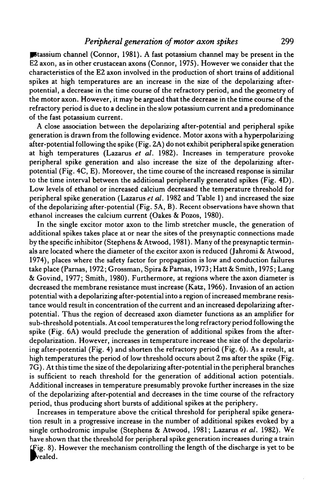### *Peripheral generation of motor axon spikes* 299

pitassium channel (Connor, 1981). A fast potassium channel may be present in the E2 axon, as in other crustacean axons (Connor, 1975). However we consider that the characteristics of the E2 axon involved in the production of short trains of additional spikes at high temperatures are an increase in the size of the depolarizing afterpotential, a decrease in the time course of the refractory period, and the geometry of the motor axon. However, it may be argued that the decrease in the time course of the refractory period is due to a decline in the slow potassium current and a predominance of the fast potassium current.

A close association between the depolarizing after-potential and peripheral spike generation is drawn from the following evidence. Motor axons with a hyperpolarizing after-potential following the spike (Fig. 2A) do not exhibit peripheral spike generation at high temperatures (Lazarus *et al.* 1982). Increases in temperature provoke peripheral spike generation and also increase the size of the depolarizing afterpotential (Fig. 4C, E). Moreover, the time course of the increased response is similar to the time interval between the additional peripherally generated spikes (Fig. 4D). Low levels of ethanol or increased calcium decreased the temperature threshold for peripheral spike generation (Lazarus *et al.* 1982 and Table 1) and increased the size of the depolarizing after-potential (Fig. 5A, B). Recent observations have shown that ethanol increases the calcium current (Oakes & Pozos, 1980).

In the single excitor motor axon to the limb stretcher muscle, the generation of additional spikes takes place at or near the sites of the presynaptic connections made by the specific inhibitor (Stephens & Atwood, 1981). Many of the presynaptic terminals are located where the diameter of the excitor axon is reduced (Jahromi & Atwood, 1974), places where the safety factor for propagation is low and conduction failures take place (Parnas, 1972; Grossman, Spira & Parnas, 1973; Hatt & Smith, 1975; Lang & Govind, 1977; Smith, 1980). Furthermore, at regions where the axon diameter is decreased the membrane resistance must increase (Katz, 1966). Invasion of an action potential with a depolarizing after-potential into a region of increased membrane resistance would result in concentration of the current and an increased depolarizing afterpotential. Thus the region of decreased axon diameter functions as an amplifier for sub-threshold potentials. At cool temperatures the long refractory period following the spike (Fig. 6A) would preclude the generation of additional spikes from the afterdepolarization. However, increases in temperature increase the size of the depolarizing after-potential (Fig. 4) and shorten the refractory period (Fig. 6). As a result, at high temperatures the period of low threshold occurs about 2 ms after the spike (Fig. 7G). At this time the size of the depolarizing after-potential in the peripheral branches is sufficient to reach threshold for the generation of additional action potentials. Additional increases in temperature presumably provoke further increases in the size of the depolarizing after-potential and decreases in the time course of the refractory period, thus producing short bursts of additional spikes at the periphery.

Increases in temperature above the critical threshold for peripheral spike generation result in a progressive increase in the number of additional spikes evoked by a single orthodromic impulse (Stephens & Atwood, 1981; Lazarus *et al.* 1982). We have shown that the threshold for peripheral spike generation increases during a train LFig. 8). However the mechanism controlling the length of the discharge is yet to be vealed.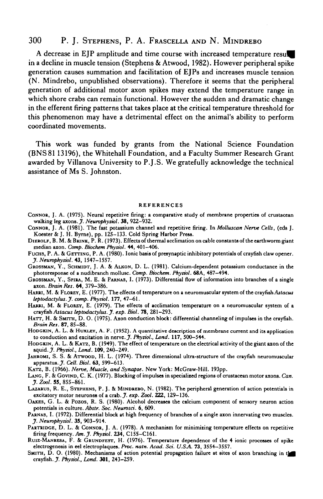## 300 P. J. STEPHENS, P. A. FRASCELLA AND N. MINDREBO

A decrease in EJP amplitude and time course with increased temperature resul in a decline in muscle tension (Stephens & Atwood, 1982). However peripheral spike generation causes summation and facilitation of EJPs and increases muscle tension (N. Mindrebo, unpublished observations). Therefore it seems that the peripheral generation of additional motor axon spikes may extend the temperature range in which shore crabs can remain functional. However the sudden and dramatic change in the efferent firing patterns that takes place at the critical temperature threshold for this phenomenon may have a detrimental effect on the animal's ability to perform coordinated movements.

This work was funded by grants from the National Science Foundation (BNS81 13196), the Whitehall Foundation, and a Faculty Summer Research Grant awarded by Villanova University to P.J.S. We gratefully acknowledge the technical assistance of Ms S. Johnston.

#### REFERENCES

- CONNOR, J. A. (1975). Neural repetitive firing: a comparative study of membrane properties of crustacean walking leg axons. *J. Neurophysiol*. 38, 922-932.
- CONNOR, J. A. (1981). The fast potassium channel and repetitive firing. In *Molluscan Nerve Cells,* (eds J. Koester & J. H. Byrne), pp. 125-133. Cold Spring Harbor Press.
- DIEROLF, B. M. & BRINK, P. R. (1973). Effects of thermal acclimation on cable constants of the earthworm giant median axon. *Camp. Biochem Physiol.* 44, 401-406.
- FUCH3, P. A. & GETTING, P. A. (1980). Ionic basis of presynaptic inhibitory potentials of crayfish claw opener. *J. Neurvphysiol.* 43, 1547-1557.
- GROSSMAN, Y., SCHMIDT, J. A. & ALKON, D. L. (1981). Calcium-dependent potassium conductance in the photoresponse of a nudibranch mollusc. *Comp. Biochem. Physiol.* 68A, 487—494.
- GROSSMAN, Y., SPIRA, M. E. & PARNAS, I. (1973). Differential flow of information into branches of a single axon. *Brain Res.* 64, 379-386.
- HARRI, M. & FLOREY, E. (1977). The effects of temperature on a neuromuscular system of the crayfish *Astacus leptodactylus.J. comp. Physiol.* **177,** 47-61.
- HARRI, M. & FLOREY, E. (1979). The effects of acclimation temperature on a neuromuscular system of a crayfish *Astacus leptodactylus. J. exp. Bhl.* 78, 281-293.
- HATT, H. & SMITH, D. O. (1975). Axon conduction block: differential channeling of impulses in the crayfish. *Brain Res.* 87, 85-88.
- HODGKIN, A. L. & HUXLEY, A. F. (1952). A quantitative description of membrane current and its application to conduction and excitation in nerve. *J. Physiol., Lond.* 117, 500-544.
- HODGKIN, A. L. & KATZ, B. (1949). The effect of temperature on the electrical activity of the giant axon of the squid. *J. Physiol., Land.* **109,** 240-249.
- JAHROMI, S. S. & ATWOOD, H. L. (1974). Three dimensional ultra-structure of the crayfish neuromuscular apparatus. *J. Cell. Biol.* 63, 599-613.
- KATZ, B. (1966). *Nerve, Muscle, and Synapse.* New York: McGraw-Hill. 193pp.
- LANG, F. & GOVIND, C. K. (1977). Blocking of impulses in specialized regions of crustacean motor axons. *Can. J. Zool.* 55, 855-861.
- LAZARUS, R. E., STEPHENS, P. J. & MINDREBO, N. (1982). The peripheral generation of action potentials in excitatory motor neurones of a crab. *J. exp. Zool. 222,* 129-136.
- OAKES, G. L. & Pozos, R. S. (1980). Alcohol decreases the calcium component of sensory neuron action potentials in culture. *Abstr. Soc. Neurosd.* 6, 609.
- PARNAS, I. (1972). Differential block at high frequency of branches of a single axon innervating two muscles. *J. Neurvphysiol.* 35, 903-914.
- PARTRIDGE, D. L. & CONNOR, J. A. (1978). A mechanism for minimizing temperature effects on repetitive firing frequency. *Am.J. Physiol.* **234,** C155-C161.
- RUIZ-MANRESA, F. & GRUNDFEST, H. (1976). Temperature dependence of the 4 ionic processes of spike electrogenesis in eel electroplaques. *Ptvc. natn. Acad. Sri. U.SA.* **73,** 3554-3557.
- SMITH, D. O. (1980). Mechanisms of action potential propagation failure at sites of axon branching in the crayfish. *J. Physiol., Land.* **301,** 243-259.